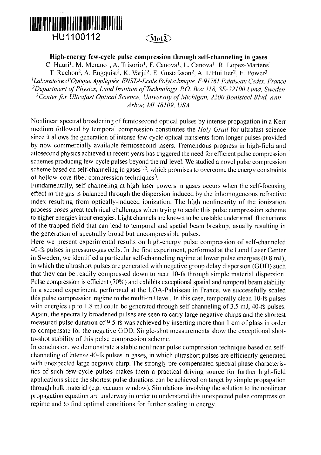

## **High-energy few-cycle pulse compression through self-channeling in gases**

C. Hauri<sup>1</sup>, M. Merano<sup>1</sup>, A. Trisorio<sup>1</sup>, F. Canova<sup>1</sup>, L. Canova<sup>1</sup>, R. Lopez-Martens<sup>1</sup> T. Ruchon<sup>2</sup>, A. Engquist<sup>2</sup>, K. Varjú<sup>2</sup>. E. Gustafsson<sup>2</sup>, A. L'Huillier<sup>2</sup>, E. Power<sup>3</sup> *'Laboratoire d'Optique AppHquée, ENSTA-Ecole Polytechnique, F-9I76I Palaiseau Cedex, France*  <sup>2</sup> Department of Physics, Lund Institute of Technology, P.O. Box 118, SE-22100 Lund, Sweden <sup>3</sup> Center for Ultrafast Optical Science, University of Michigan, 2200 Bonisteel Blvd, Ann *Arbor, Ml 48109, USA* 

Nonlinear spectral broadening of femtosecond optical pulses by intense propagation in a Kerr medium followed by temporal compression constitutes the *Holy Grail* for ultrafast science since it allows the generation of intense few-cycle optical transients from longer pulses provided by now commercially available femtosecond lasers. Tremendous progress in high-field and attosecond physics achieved in recent years has triggered the need for efficient pulse compression schemes producing few-cycle pulses beyond the mJ level. We studied a novel pulse compression scheme based on self-channeling in gases<sup> $1,2$ </sup>, which promises to overcome the energy constraints of hollow-core fiber compression techniques<sup>3</sup>.

Fundamentally, self-channeling at high laser powers in gases occurs when the self-focusing effect in the gas is balanced through the dispersion induced by the inhomogeneous refractive index resulting from optically-induced ionization. The high nonlinearity of the ionization process poses great technical challenges when trying to scale this pulse compression scheme to higher energies input energies. Light channels are known to be unstable under small fluctuations of the trapped field that can lead to temporal and spatial beam breakup, usually resulting in the generation of spectrally broad but uncompressible pulses.

Here we present experimental results on high-energy pulse compression of self-channeled 40-fs pulses in pressure-gas cells. In the first experiment, performed at the Lund Laser Center in Sweden, we identified a particular self-channeling regime at lower pulse energies (0.8 mJ), in which the ultrashort pulses are generated with negative group delay dispersion (GDD) such that they can be readily compressed down to near 10-fs through simple material dispersion. Pulse compression is efficient (70%) and exhibits exceptional spatial and temporal beam stability. In a second experiment, performed at the LOA-Palaiseau in France, we successfully scaled this pulse compression regime to the multi-mJ level. In this case, temporally clean 10-fs pulses with energies up to 1.8 mJ could be generated through self-channeling of 3.5 mJ, 40-fs pulses. Again, the spectrally broadened pulses are seen to carry large negative chirps and the shortest measured pulse duration of 9.5-fs was achieved by inserting more than 1 cm of glass in order to compensate for the negative GDD. Single-shot measurements show the exceptional shotto-shot stability of this pulse compression scheme.

In conclusion, we demonstrate a stable nonlinear pulse compression technique based on selfchanneling of intense 40-fs pulses in gases, in which ultrashort pulses are efficiently generated with unexpected large negative chirp. The strongly pre-compensated spectral phase characteristics of such few-cycle pulses makes them a practical driving source for further high-field applications since the shortest pulse durations can be achieved on target by simple propagation through bulk material (e.g. vacuum window). Simulations involving the solution to the nonlinear propagation equation are underway in order to understand this unexpected pulse compression regime and to find optimal conditions for further scaling in energy.